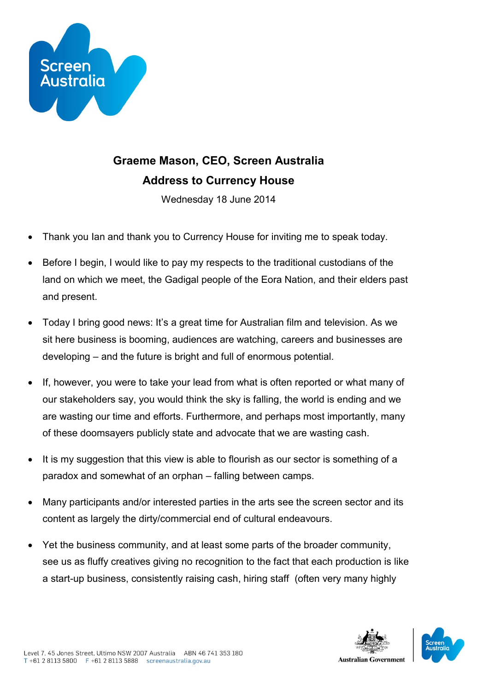

## **Graeme Mason, CEO, Screen Australia Address to Currency House**

Wednesday 18 June 2014

- Thank you Ian and thank you to Currency House for inviting me to speak today.
- Before I begin, I would like to pay my respects to the traditional custodians of the land on which we meet, the Gadigal people of the Eora Nation, and their elders past and present.
- Today I bring good news: It's a great time for Australian film and television. As we sit here business is booming, audiences are watching, careers and businesses are developing – and the future is bright and full of enormous potential.
- If, however, you were to take your lead from what is often reported or what many of our stakeholders say, you would think the sky is falling, the world is ending and we are wasting our time and efforts. Furthermore, and perhaps most importantly, many of these doomsayers publicly state and advocate that we are wasting cash.
- It is my suggestion that this view is able to flourish as our sector is something of a paradox and somewhat of an orphan – falling between camps.
- Many participants and/or interested parties in the arts see the screen sector and its content as largely the dirty/commercial end of cultural endeavours.
- Yet the business community, and at least some parts of the broader community, see us as fluffy creatives giving no recognition to the fact that each production is like a start-up business, consistently raising cash, hiring staff (often very many highly

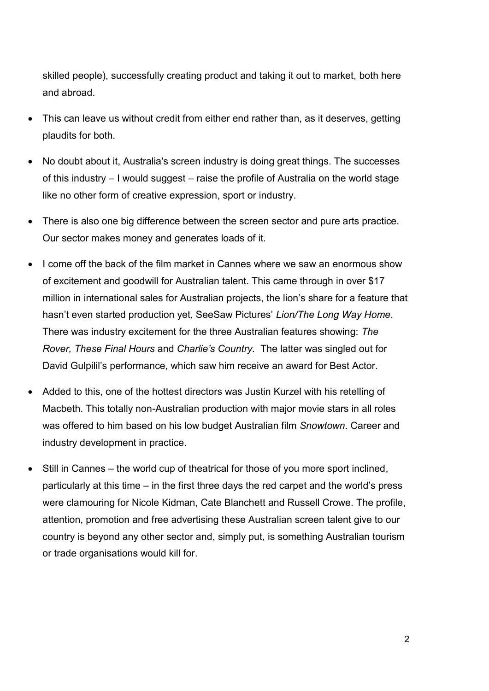skilled people), successfully creating product and taking it out to market, both here and abroad.

- This can leave us without credit from either end rather than, as it deserves, getting plaudits for both.
- No doubt about it, Australia's screen industry is doing great things. The successes of this industry – I would suggest – raise the profile of Australia on the world stage like no other form of creative expression, sport or industry.
- There is also one big difference between the screen sector and pure arts practice. Our sector makes money and generates loads of it.
- I come off the back of the film market in Cannes where we saw an enormous show of excitement and goodwill for Australian talent. This came through in over \$17 million in international sales for Australian projects, the lion's share for a feature that hasn't even started production yet, SeeSaw Pictures' *Lion/The Long Way Home*. There was industry excitement for the three Australian features showing: *The Rover, These Final Hours* and *Charlie's Country.* The latter was singled out for David Gulpilil's performance, which saw him receive an award for Best Actor.
- Added to this, one of the hottest directors was Justin Kurzel with his retelling of Macbeth. This totally non-Australian production with major movie stars in all roles was offered to him based on his low budget Australian film *Snowtown*. Career and industry development in practice.
- Still in Cannes the world cup of theatrical for those of you more sport inclined, particularly at this time – in the first three days the red carpet and the world's press were clamouring for Nicole Kidman, Cate Blanchett and Russell Crowe. The profile, attention, promotion and free advertising these Australian screen talent give to our country is beyond any other sector and, simply put, is something Australian tourism or trade organisations would kill for.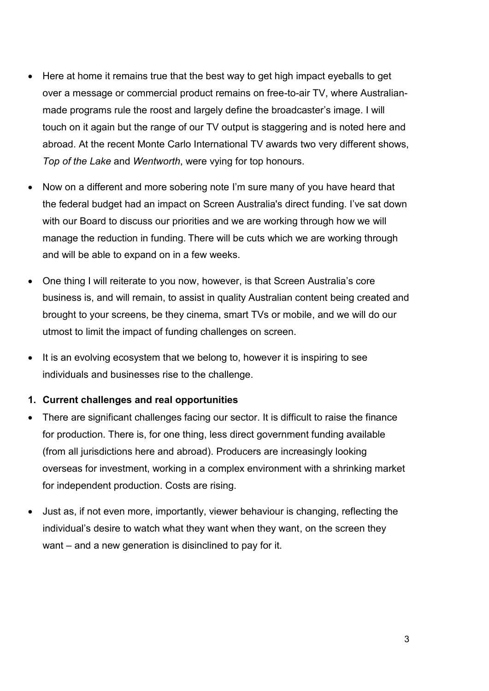- Here at home it remains true that the best way to get high impact eyeballs to get over a message or commercial product remains on free-to-air TV, where Australianmade programs rule the roost and largely define the broadcaster's image. I will touch on it again but the range of our TV output is staggering and is noted here and abroad. At the recent Monte Carlo International TV awards two very different shows, *Top of the Lake* and *Wentworth*, were vying for top honours.
- Now on a different and more sobering note I'm sure many of you have heard that the federal budget had an impact on Screen Australia's direct funding. I've sat down with our Board to discuss our priorities and we are working through how we will manage the reduction in funding. There will be cuts which we are working through and will be able to expand on in a few weeks.
- One thing I will reiterate to you now, however, is that Screen Australia's core business is, and will remain, to assist in quality Australian content being created and brought to your screens, be they cinema, smart TVs or mobile, and we will do our utmost to limit the impact of funding challenges on screen.
- It is an evolving ecosystem that we belong to, however it is inspiring to see individuals and businesses rise to the challenge.

## **1. Current challenges and real opportunities**

- There are significant challenges facing our sector. It is difficult to raise the finance for production. There is, for one thing, less direct government funding available (from all jurisdictions here and abroad). Producers are increasingly looking overseas for investment, working in a complex environment with a shrinking market for independent production. Costs are rising.
- Just as, if not even more, importantly, viewer behaviour is changing, reflecting the individual's desire to watch what they want when they want, on the screen they want – and a new generation is disinclined to pay for it.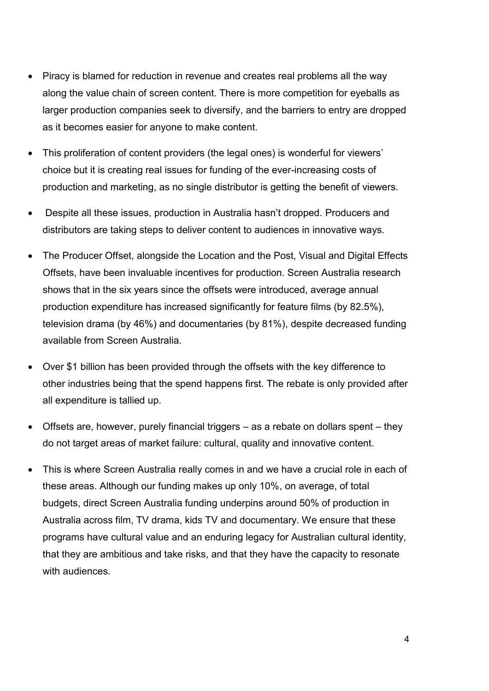- Piracy is blamed for reduction in revenue and creates real problems all the way along the value chain of screen content. There is more competition for eyeballs as larger production companies seek to diversify, and the barriers to entry are dropped as it becomes easier for anyone to make content.
- This proliferation of content providers (the legal ones) is wonderful for viewers' choice but it is creating real issues for funding of the ever-increasing costs of production and marketing, as no single distributor is getting the benefit of viewers.
- Despite all these issues, production in Australia hasn't dropped. Producers and distributors are taking steps to deliver content to audiences in innovative ways.
- The Producer Offset, alongside the Location and the Post, Visual and Digital Effects Offsets, have been invaluable incentives for production. Screen Australia research shows that in the six years since the offsets were introduced, average annual production expenditure has increased significantly for feature films (by 82.5%), television drama (by 46%) and documentaries (by 81%), despite decreased funding available from Screen Australia.
- Over \$1 billion has been provided through the offsets with the key difference to other industries being that the spend happens first. The rebate is only provided after all expenditure is tallied up.
- Offsets are, however, purely financial triggers as a rebate on dollars spent they do not target areas of market failure: cultural, quality and innovative content.
- This is where Screen Australia really comes in and we have a crucial role in each of these areas. Although our funding makes up only 10%, on average, of total budgets, direct Screen Australia funding underpins around 50% of production in Australia across film, TV drama, kids TV and documentary. We ensure that these programs have cultural value and an enduring legacy for Australian cultural identity, that they are ambitious and take risks, and that they have the capacity to resonate with audiences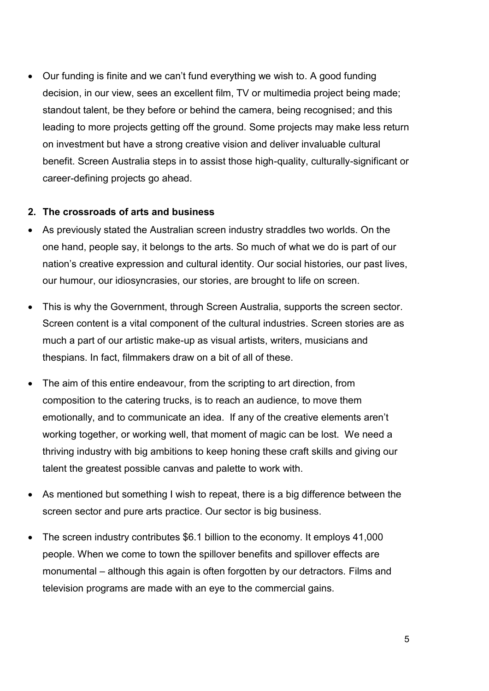Our funding is finite and we can't fund everything we wish to. A good funding decision, in our view, sees an excellent film, TV or multimedia project being made; standout talent, be they before or behind the camera, being recognised; and this leading to more projects getting off the ground. Some projects may make less return on investment but have a strong creative vision and deliver invaluable cultural benefit. Screen Australia steps in to assist those high-quality, culturally-significant or career-defining projects go ahead.

## **2. The crossroads of arts and business**

- As previously stated the Australian screen industry straddles two worlds. On the one hand, people say, it belongs to the arts. So much of what we do is part of our nation's creative expression and cultural identity. Our social histories, our past lives, our humour, our idiosyncrasies, our stories, are brought to life on screen.
- This is why the Government, through Screen Australia, supports the screen sector. Screen content is a vital component of the cultural industries. Screen stories are as much a part of our artistic make-up as visual artists, writers, musicians and thespians. In fact, filmmakers draw on a bit of all of these.
- The aim of this entire endeavour, from the scripting to art direction, from composition to the catering trucks, is to reach an audience, to move them emotionally, and to communicate an idea. If any of the creative elements aren't working together, or working well, that moment of magic can be lost. We need a thriving industry with big ambitions to keep honing these craft skills and giving our talent the greatest possible canvas and palette to work with.
- As mentioned but something I wish to repeat, there is a big difference between the screen sector and pure arts practice. Our sector is big business.
- The screen industry contributes \$6.1 billion to the economy. It employs 41,000 people. When we come to town the spillover benefits and spillover effects are monumental – although this again is often forgotten by our detractors. Films and television programs are made with an eye to the commercial gains.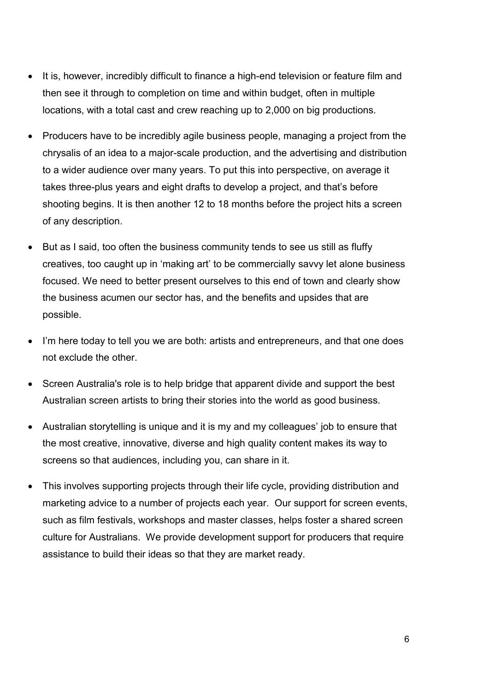- It is, however, incredibly difficult to finance a high-end television or feature film and then see it through to completion on time and within budget, often in multiple locations, with a total cast and crew reaching up to 2,000 on big productions.
- Producers have to be incredibly agile business people, managing a project from the chrysalis of an idea to a major-scale production, and the advertising and distribution to a wider audience over many years. To put this into perspective, on average it takes three-plus years and eight drafts to develop a project, and that's before shooting begins. It is then another 12 to 18 months before the project hits a screen of any description.
- But as I said, too often the business community tends to see us still as fluffy creatives, too caught up in 'making art' to be commercially savvy let alone business focused. We need to better present ourselves to this end of town and clearly show the business acumen our sector has, and the benefits and upsides that are possible.
- I'm here today to tell you we are both: artists and entrepreneurs, and that one does not exclude the other.
- Screen Australia's role is to help bridge that apparent divide and support the best Australian screen artists to bring their stories into the world as good business.
- Australian storytelling is unique and it is my and my colleagues' job to ensure that the most creative, innovative, diverse and high quality content makes its way to screens so that audiences, including you, can share in it.
- This involves supporting projects through their life cycle, providing distribution and marketing advice to a number of projects each year. Our support for screen events, such as film festivals, workshops and master classes, helps foster a shared screen culture for Australians. We provide development support for producers that require assistance to build their ideas so that they are market ready.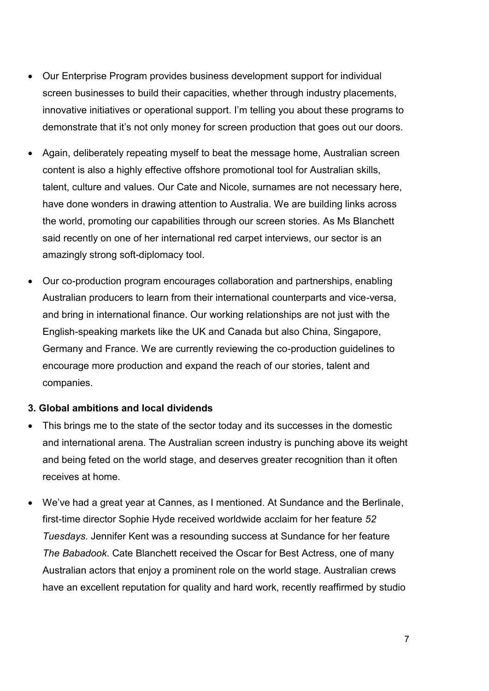- Our Enterprise Program provides business development support for individual screen businesses to build their capacities, whether through industry placements, innovative initiatives or operational support. I'm telling you about these programs to demonstrate that it's not only money for screen production that goes out our doors.
- Again, deliberately repeating myself to beat the message home, Australian screen content is also a highly effective offshore promotional tool for Australian skills, talent, culture and values. Our Cate and Nicole, surnames are not necessary here, have done wonders in drawing attention to Australia. We are building links across the world, promoting our capabilities through our screen stories. As Ms Blanchett said recently on one of her international red carpet interviews, our sector is an amazingly strong soft-diplomacy tool.
- Our co-production program encourages collaboration and partnerships, enabling Australian producers to learn from their international counterparts and vice-versa, and bring in international finance. Our working relationships are not just with the English-speaking markets like the UK and Canada but also China, Singapore, Germany and France. We are currently reviewing the co-production guidelines to encourage more production and expand the reach of our stories, talent and companies.

## **3. Global ambitions and local dividends**

- This brings me to the state of the sector today and its successes in the domestic and international arena. The Australian screen industry is punching above its weight and being feted on the world stage, and deserves greater recognition than it often receives at home.
- We've had a great year at Cannes, as I mentioned. At Sundance and the Berlinale, first-time director Sophie Hyde received worldwide acclaim for her feature *52 Tuesdays*. Jennifer Kent was a resounding success at Sundance for her feature *The Babadook*. Cate Blanchett received the Oscar for Best Actress, one of many Australian actors that enjoy a prominent role on the world stage. Australian crews have an excellent reputation for quality and hard work, recently reaffirmed by studio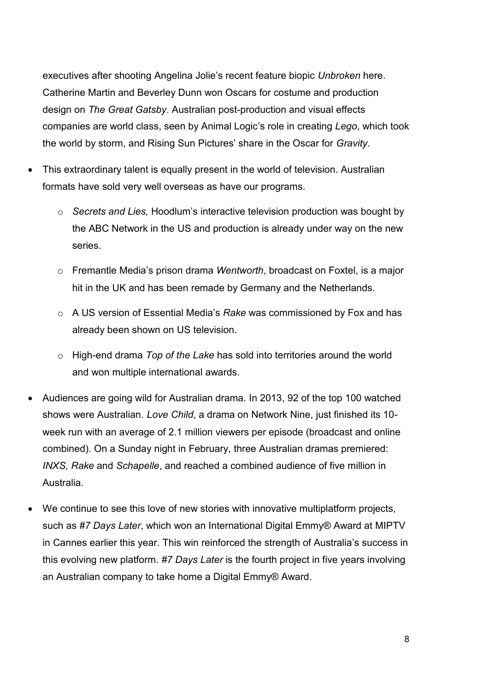executives after shooting Angelina Jolie's recent feature biopic *Unbroken* here. Catherine Martin and Beverley Dunn won Oscars for costume and production design on *The Great Gatsby*. Australian post-production and visual effects companies are world class, seen by Animal Logic's role in creating *Lego*, which took the world by storm, and Rising Sun Pictures' share in the Oscar for *Gravity*.

- This extraordinary talent is equally present in the world of television. Australian formats have sold very well overseas as have our programs.
	- o *Secrets and Lies,* Hoodlum's interactive television production was bought by the ABC Network in the US and production is already under way on the new series.
	- o Fremantle Media's prison drama *Wentworth*, broadcast on Foxtel, is a major hit in the UK and has been remade by Germany and the Netherlands.
	- o A US version of Essential Media's *Rake* was commissioned by Fox and has already been shown on US television.
	- o High-end drama *Top of the Lake* has sold into territories around the world and won multiple international awards.
- Audiences are going wild for Australian drama. In 2013, 92 of the top 100 watched shows were Australian. *Love Child*, a drama on Network Nine, just finished its 10 week run with an average of 2.1 million viewers per episode (broadcast and online combined). On a Sunday night in February, three Australian dramas premiered: *INXS, Rake* and *Schapelle*, and reached a combined audience of five million in Australia.
- We continue to see this love of new stories with innovative multiplatform projects, such as *[#7 Days Later](http://www.youmailme.com.au/t/y-i-ilidyhl-l-t/)*, which won an International Digital Emmy® Award at MIPTV in Cannes earlier this year. This win reinforced the strength of Australia's success in this evolving new platform. *#7 Days Later* is the fourth project in five years involving an Australian company to take home a Digital Emmy® Award.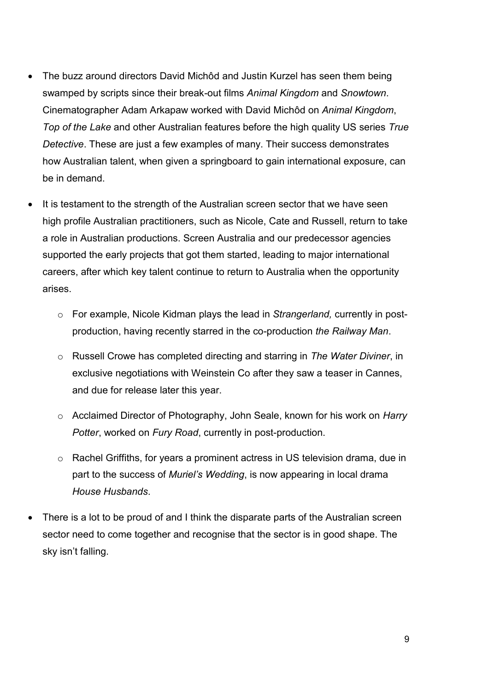- The buzz around directors David Michôd and Justin Kurzel has seen them being swamped by scripts since their break-out films *Animal Kingdom* and *Snowtown*. Cinematographer Adam Arkapaw worked with David Mich d on *Animal Kingdom*, *Top of the Lake* and other Australian features before the high quality US series *True Detective*. These are just a few examples of many. Their success demonstrates how Australian talent, when given a springboard to gain international exposure, can be in demand.
- It is testament to the strength of the Australian screen sector that we have seen high profile Australian practitioners, such as Nicole, Cate and Russell, return to take a role in Australian productions. Screen Australia and our predecessor agencies supported the early projects that got them started, leading to major international careers, after which key talent continue to return to Australia when the opportunity arises.
	- o For example, Nicole Kidman plays the lead in *Strangerland,* currently in postproduction, having recently starred in the co-production *the Railway Man*.
	- o Russell Crowe has completed directing and starring in *The Water Diviner*, in exclusive negotiations with Weinstein Co after they saw a teaser in Cannes, and due for release later this year.
	- o Acclaimed Director of Photography, John Seale, known for his work on *Harry Potter*, worked on *Fury Road*, currently in post-production.
	- o Rachel Griffiths, for years a prominent actress in US television drama, due in part to the success of *Muriel's Wedding*, is now appearing in local drama *House Husbands*.
- There is a lot to be proud of and I think the disparate parts of the Australian screen sector need to come together and recognise that the sector is in good shape. The sky isn't falling.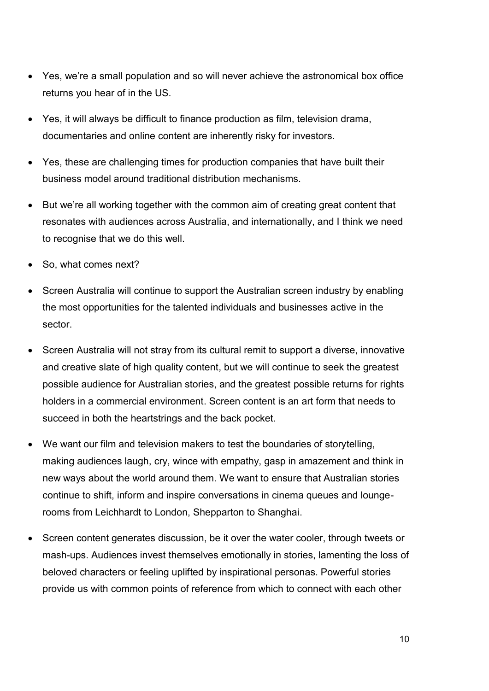- Yes, we're a small population and so will never achieve the astronomical box office returns you hear of in the US.
- Yes, it will always be difficult to finance production as film, television drama, documentaries and online content are inherently risky for investors.
- Yes, these are challenging times for production companies that have built their business model around traditional distribution mechanisms.
- But we're all working together with the common aim of creating great content that resonates with audiences across Australia, and internationally, and I think we need to recognise that we do this well.
- So, what comes next?
- Screen Australia will continue to support the Australian screen industry by enabling the most opportunities for the talented individuals and businesses active in the sector.
- Screen Australia will not stray from its cultural remit to support a diverse, innovative and creative slate of high quality content, but we will continue to seek the greatest possible audience for Australian stories, and the greatest possible returns for rights holders in a commercial environment. Screen content is an art form that needs to succeed in both the heartstrings and the back pocket.
- We want our film and television makers to test the boundaries of storytelling, making audiences laugh, cry, wince with empathy, gasp in amazement and think in new ways about the world around them. We want to ensure that Australian stories continue to shift, inform and inspire conversations in cinema queues and loungerooms from Leichhardt to London, Shepparton to Shanghai.
- Screen content generates discussion, be it over the water cooler, through tweets or mash-ups. Audiences invest themselves emotionally in stories, lamenting the loss of beloved characters or feeling uplifted by inspirational personas. Powerful stories provide us with common points of reference from which to connect with each other